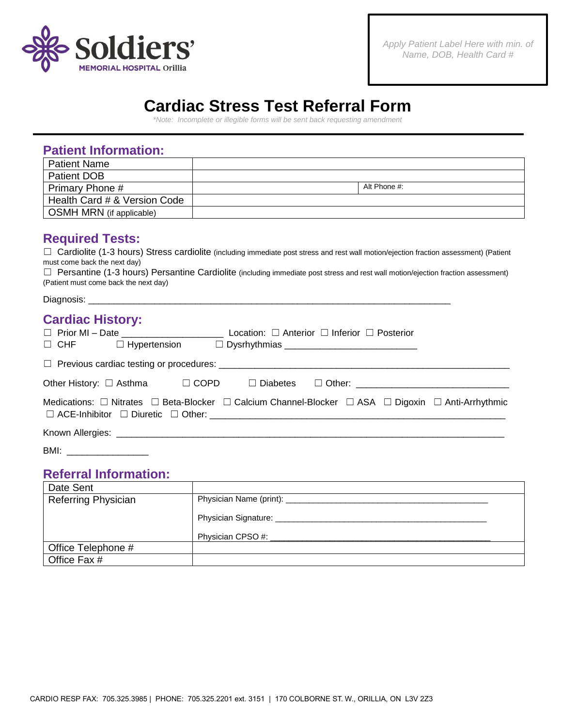

# **Cardiac Stress Test Referral Form**

*\*Note: Incomplete or illegible forms will be sent back requesting amendment*

# **Patient Information:**

| <b>Patient Name</b>             |              |
|---------------------------------|--------------|
| <b>Patient DOB</b>              |              |
| Primary Phone #                 | Alt Phone #: |
| Health Card # & Version Code    |              |
| <b>OSMH MRN</b> (if applicable) |              |

### **Required Tests:**

□ Cardiolite (1-3 hours) Stress cardiolite (including immediate post stress and rest wall motion/ejection fraction assessment) (Patient must come back the next day)

☐ Persantine (1-3 hours) Persantine Cardiolite (including immediate post stress and rest wall motion/ejection fraction assessment) (Patient must come back the next day)

Diagnosis:

## **Cardiac History:**

|      | Other History: □ Asthma     □ COPD     □ Diabetes    □ Other: ___________________                                                |
|------|----------------------------------------------------------------------------------------------------------------------------------|
|      | Medications: $\Box$ Nitrates $\Box$ Beta-Blocker $\Box$ Calcium Channel-Blocker $\Box$ ASA $\Box$ Digoxin $\Box$ Anti-Arrhythmic |
|      |                                                                                                                                  |
| BMI: |                                                                                                                                  |

### **Referral Information:**

| Date Sent                  |                      |
|----------------------------|----------------------|
| <b>Referring Physician</b> |                      |
|                            | Physician Signature: |
|                            | Physician CPSO #:    |
| Office Telephone #         |                      |
| Office Fax #               |                      |